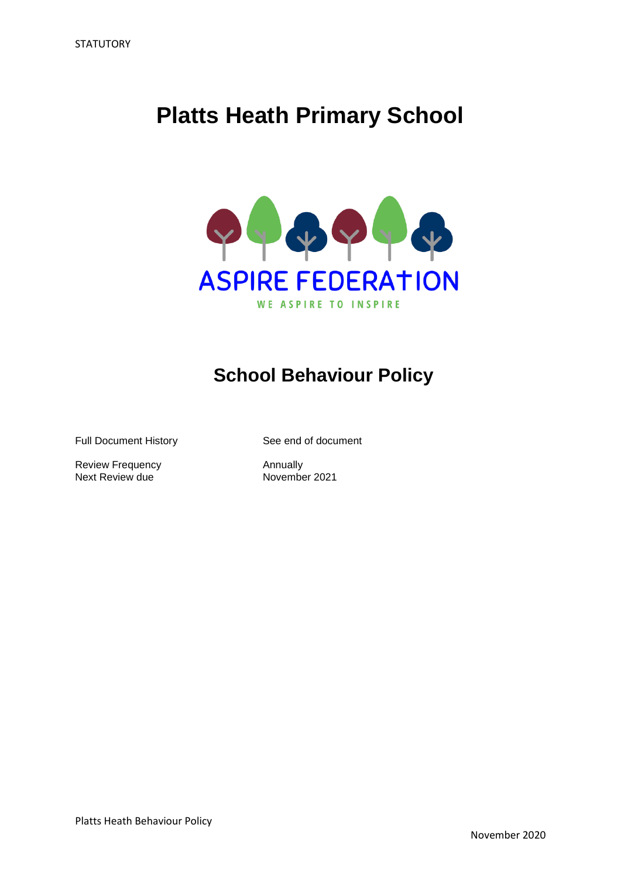# **Platts Heath Primary School**



## **School Behaviour Policy**

Full Document History See end of document

Review Frequency<br>
Next Review due<br>
November 2021 Next Review due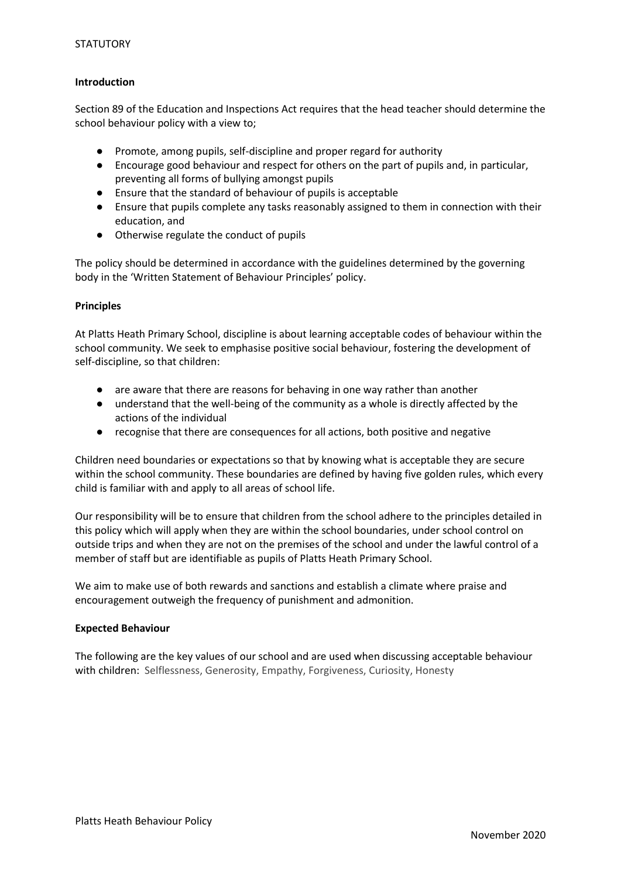## **Introduction**

Section 89 of the Education and Inspections Act requires that the head teacher should determine the school behaviour policy with a view to;

- Promote, among pupils, self-discipline and proper regard for authority
- Encourage good behaviour and respect for others on the part of pupils and, in particular, preventing all forms of bullying amongst pupils
- Ensure that the standard of behaviour of pupils is acceptable
- Ensure that pupils complete any tasks reasonably assigned to them in connection with their education, and
- Otherwise regulate the conduct of pupils

The policy should be determined in accordance with the guidelines determined by the governing body in the 'Written Statement of Behaviour Principles' policy.

## **Principles**

At Platts Heath Primary School, discipline is about learning acceptable codes of behaviour within the school community. We seek to emphasise positive social behaviour, fostering the development of self-discipline, so that children:

- are aware that there are reasons for behaving in one way rather than another
- understand that the well-being of the community as a whole is directly affected by the actions of the individual
- recognise that there are consequences for all actions, both positive and negative

Children need boundaries or expectations so that by knowing what is acceptable they are secure within the school community. These boundaries are defined by having five golden rules, which every child is familiar with and apply to all areas of school life.

Our responsibility will be to ensure that children from the school adhere to the principles detailed in this policy which will apply when they are within the school boundaries, under school control on outside trips and when they are not on the premises of the school and under the lawful control of a member of staff but are identifiable as pupils of Platts Heath Primary School.

We aim to make use of both rewards and sanctions and establish a climate where praise and encouragement outweigh the frequency of punishment and admonition.

## **Expected Behaviour**

The following are the key values of our school and are used when discussing acceptable behaviour with children: Selflessness, Generosity, Empathy, Forgiveness, Curiosity, Honesty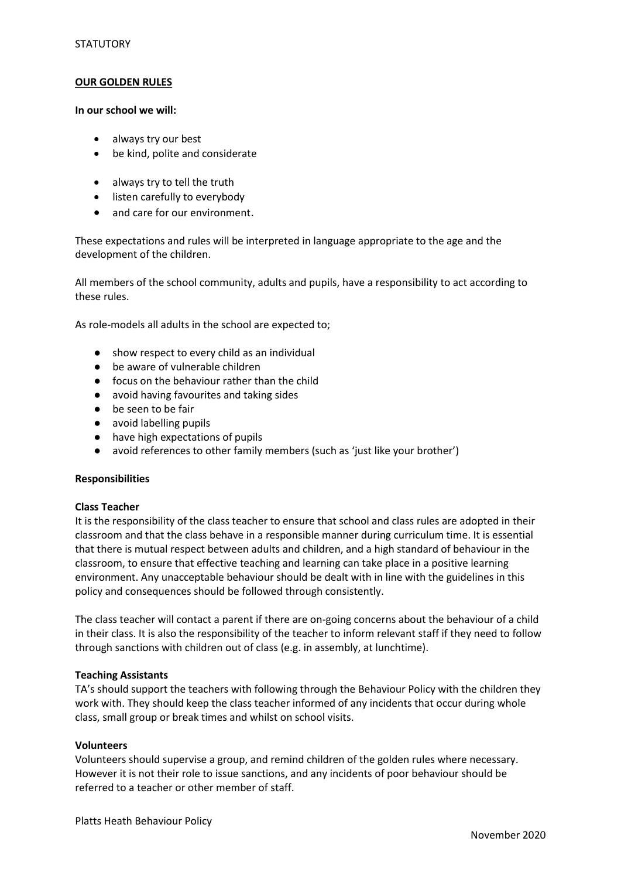#### **OUR GOLDEN RULES**

#### **In our school we will:**

- always try our best
- be kind, polite and considerate
- always try to tell the truth
- listen carefully to everybody
- and care for our environment.

These expectations and rules will be interpreted in language appropriate to the age and the development of the children.

All members of the school community, adults and pupils, have a responsibility to act according to these rules.

As role-models all adults in the school are expected to;

- show respect to every child as an individual
- be aware of vulnerable children
- focus on the behaviour rather than the child
- avoid having favourites and taking sides
- be seen to be fair
- avoid labelling pupils
- have high expectations of pupils
- avoid references to other family members (such as 'just like your brother')

#### **Responsibilities**

## **Class Teacher**

It is the responsibility of the class teacher to ensure that school and class rules are adopted in their classroom and that the class behave in a responsible manner during curriculum time. It is essential that there is mutual respect between adults and children, and a high standard of behaviour in the classroom, to ensure that effective teaching and learning can take place in a positive learning environment. Any unacceptable behaviour should be dealt with in line with the guidelines in this policy and consequences should be followed through consistently.

The class teacher will contact a parent if there are on-going concerns about the behaviour of a child in their class. It is also the responsibility of the teacher to inform relevant staff if they need to follow through sanctions with children out of class (e.g. in assembly, at lunchtime).

## **Teaching Assistants**

TA's should support the teachers with following through the Behaviour Policy with the children they work with. They should keep the class teacher informed of any incidents that occur during whole class, small group or break times and whilst on school visits.

#### **Volunteers**

Volunteers should supervise a group, and remind children of the golden rules where necessary. However it is not their role to issue sanctions, and any incidents of poor behaviour should be referred to a teacher or other member of staff.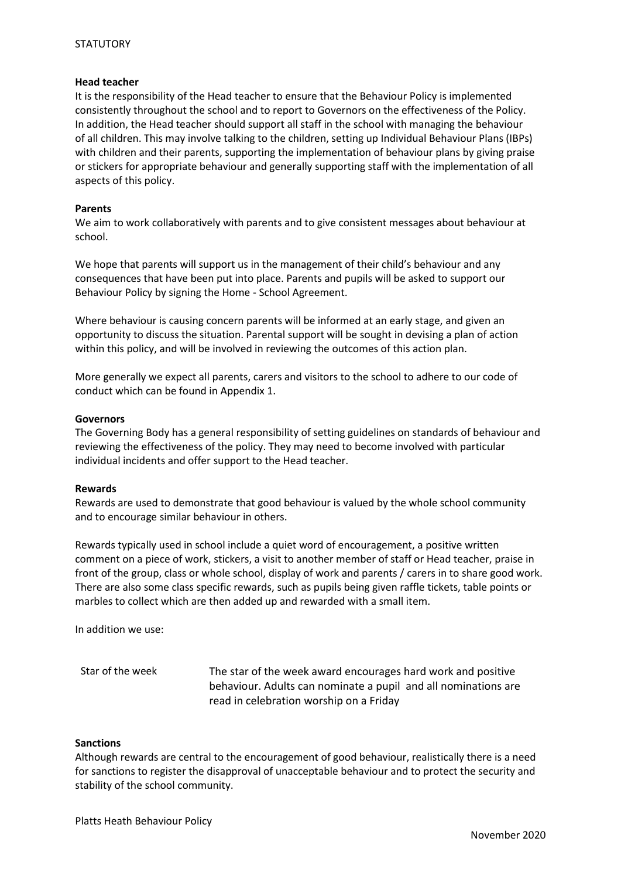## **STATUTORY**

#### **Head teacher**

It is the responsibility of the Head teacher to ensure that the Behaviour Policy is implemented consistently throughout the school and to report to Governors on the effectiveness of the Policy. In addition, the Head teacher should support all staff in the school with managing the behaviour of all children. This may involve talking to the children, setting up Individual Behaviour Plans (IBPs) with children and their parents, supporting the implementation of behaviour plans by giving praise or stickers for appropriate behaviour and generally supporting staff with the implementation of all aspects of this policy.

#### **Parents**

We aim to work collaboratively with parents and to give consistent messages about behaviour at school.

We hope that parents will support us in the management of their child's behaviour and any consequences that have been put into place. Parents and pupils will be asked to support our Behaviour Policy by signing the Home - School Agreement.

Where behaviour is causing concern parents will be informed at an early stage, and given an opportunity to discuss the situation. Parental support will be sought in devising a plan of action within this policy, and will be involved in reviewing the outcomes of this action plan.

More generally we expect all parents, carers and visitors to the school to adhere to our code of conduct which can be found in Appendix 1.

#### **Governors**

The Governing Body has a general responsibility of setting guidelines on standards of behaviour and reviewing the effectiveness of the policy. They may need to become involved with particular individual incidents and offer support to the Head teacher.

#### **Rewards**

Rewards are used to demonstrate that good behaviour is valued by the whole school community and to encourage similar behaviour in others.

Rewards typically used in school include a quiet word of encouragement, a positive written comment on a piece of work, stickers, a visit to another member of staff or Head teacher, praise in front of the group, class or whole school, display of work and parents / carers in to share good work. There are also some class specific rewards, such as pupils being given raffle tickets, table points or marbles to collect which are then added up and rewarded with a small item.

In addition we use:

Star of the week The star of the week award encourages hard work and positive behaviour. Adults can nominate a pupil and all nominations are read in celebration worship on a Friday

#### **Sanctions**

Although rewards are central to the encouragement of good behaviour, realistically there is a need for sanctions to register the disapproval of unacceptable behaviour and to protect the security and stability of the school community.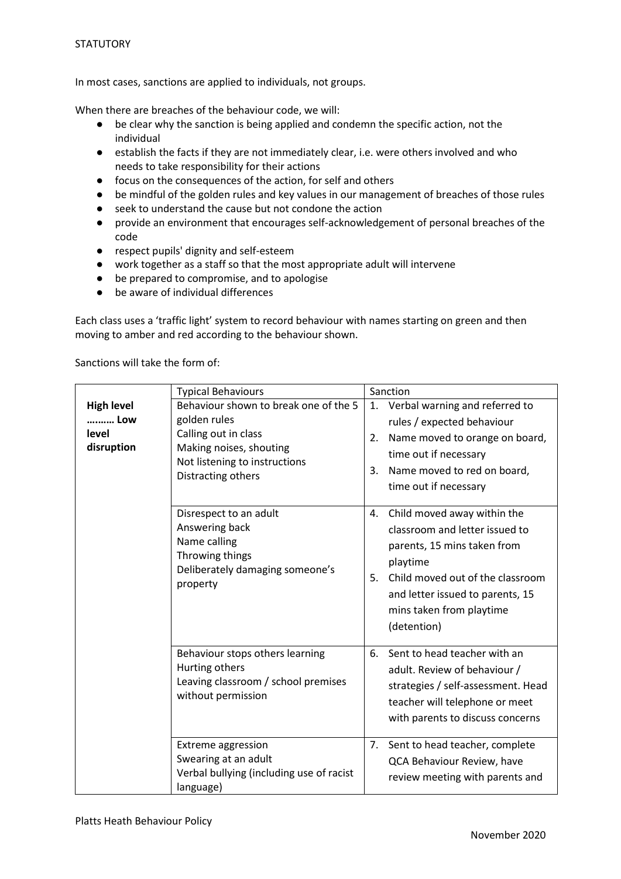In most cases, sanctions are applied to individuals, not groups.

When there are breaches of the behaviour code, we will:

- be clear why the sanction is being applied and condemn the specific action, not the individual
- establish the facts if they are not immediately clear, i.e. were others involved and who needs to take responsibility for their actions
- focus on the consequences of the action, for self and others<br>● be mindful of the golden rules and key values in our manage
- be mindful of the golden rules and key values in our management of breaches of those rules
- seek to understand the cause but not condone the action
- provide an environment that encourages self-acknowledgement of personal breaches of the code
- respect pupils' dignity and self-esteem
- work together as a staff so that the most appropriate adult will intervene
- be prepared to compromise, and to apologise
- be aware of individual differences

Each class uses a 'traffic light' system to record behaviour with names starting on green and then moving to amber and red according to the behaviour shown.

|                                                 | <b>Typical Behaviours</b>                                                                                                                                       | Sanction |                                                                                                                                                                                                                             |  |
|-------------------------------------------------|-----------------------------------------------------------------------------------------------------------------------------------------------------------------|----------|-----------------------------------------------------------------------------------------------------------------------------------------------------------------------------------------------------------------------------|--|
| <b>High level</b><br>Low<br>level<br>disruption | Behaviour shown to break one of the 5<br>golden rules<br>Calling out in class<br>Making noises, shouting<br>Not listening to instructions<br>Distracting others | 2.<br>3. | 1. Verbal warning and referred to<br>rules / expected behaviour<br>Name moved to orange on board,<br>time out if necessary<br>Name moved to red on board,<br>time out if necessary                                          |  |
|                                                 | Disrespect to an adult<br>Answering back<br>Name calling<br>Throwing things<br>Deliberately damaging someone's<br>property                                      | 4.<br>5. | Child moved away within the<br>classroom and letter issued to<br>parents, 15 mins taken from<br>playtime<br>Child moved out of the classroom<br>and letter issued to parents, 15<br>mins taken from playtime<br>(detention) |  |
|                                                 | Behaviour stops others learning<br>Hurting others<br>Leaving classroom / school premises<br>without permission                                                  | 6.       | Sent to head teacher with an<br>adult. Review of behaviour /<br>strategies / self-assessment. Head<br>teacher will telephone or meet<br>with parents to discuss concerns                                                    |  |
|                                                 | <b>Extreme aggression</b><br>Swearing at an adult<br>Verbal bullying (including use of racist<br>language)                                                      | 7.       | Sent to head teacher, complete<br>QCA Behaviour Review, have<br>review meeting with parents and                                                                                                                             |  |

Sanctions will take the form of: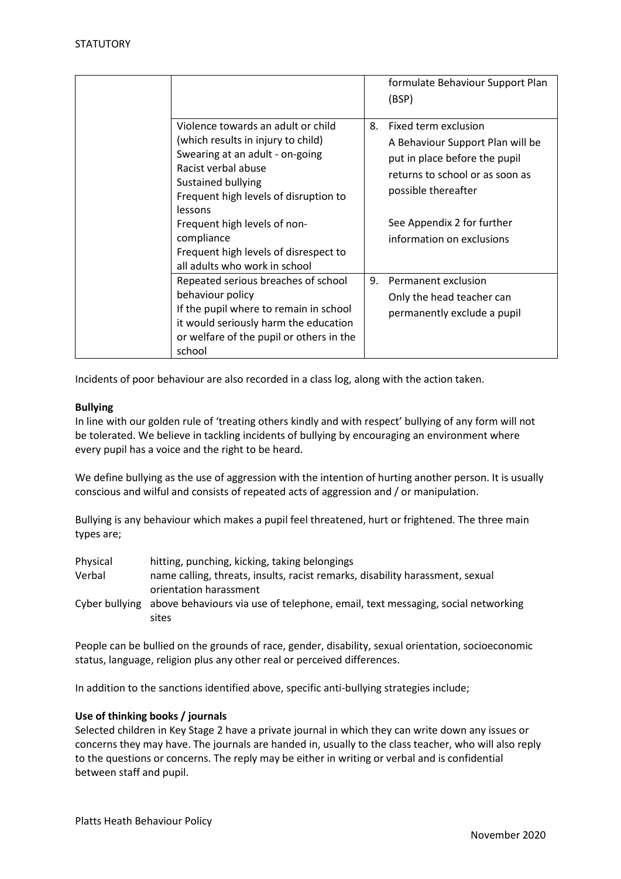|                                                                                                                                                                                                                                                                                                     |    | formulate Behaviour Support Plan<br>(BSP)                                                                                                                                                                      |
|-----------------------------------------------------------------------------------------------------------------------------------------------------------------------------------------------------------------------------------------------------------------------------------------------------|----|----------------------------------------------------------------------------------------------------------------------------------------------------------------------------------------------------------------|
| Violence towards an adult or child<br>(which results in injury to child)<br>Swearing at an adult - on-going<br>Racist verbal abuse<br>Sustained bullying<br>Frequent high levels of disruption to<br>lessons<br>Frequent high levels of non-<br>compliance<br>Frequent high levels of disrespect to | 8. | Fixed term exclusion<br>A Behaviour Support Plan will be<br>put in place before the pupil<br>returns to school or as soon as<br>possible thereafter<br>See Appendix 2 for further<br>information on exclusions |
| all adults who work in school                                                                                                                                                                                                                                                                       |    |                                                                                                                                                                                                                |
| Repeated serious breaches of school<br>behaviour policy<br>If the pupil where to remain in school<br>it would seriously harm the education<br>or welfare of the pupil or others in the<br>school                                                                                                    | 9. | Permanent exclusion<br>Only the head teacher can<br>permanently exclude a pupil                                                                                                                                |

Incidents of poor behaviour are also recorded in a class log, along with the action taken.

### **Bullying**

In line with our golden rule of 'treating others kindly and with respect' bullying of any form will not be tolerated. We believe in tackling incidents of bullying by encouraging an environment where every pupil has a voice and the right to be heard.

We define bullying as the use of aggression with the intention of hurting another person. It is usually conscious and wilful and consists of repeated acts of aggression and / or manipulation.

Bullying is any behaviour which makes a pupil feel threatened, hurt or frightened. The three main types are;

| Physical | hitting, punching, kicking, taking belongings                                                  |
|----------|------------------------------------------------------------------------------------------------|
| Verbal   | name calling, threats, insults, racist remarks, disability harassment, sexual                  |
|          | orientation harassment                                                                         |
|          | Cyber bullying above behaviours via use of telephone, email, text messaging, social networking |
|          | sites                                                                                          |

People can be bullied on the grounds of race, gender, disability, sexual orientation, socioeconomic status, language, religion plus any other real or perceived differences.

In addition to the sanctions identified above, specific anti-bullying strategies include;

#### **Use of thinking books / journals**

Selected children in Key Stage 2 have a private journal in which they can write down any issues or concerns they may have. The journals are handed in, usually to the class teacher, who will also reply to the questions or concerns. The reply may be either in writing or verbal and is confidential between staff and pupil.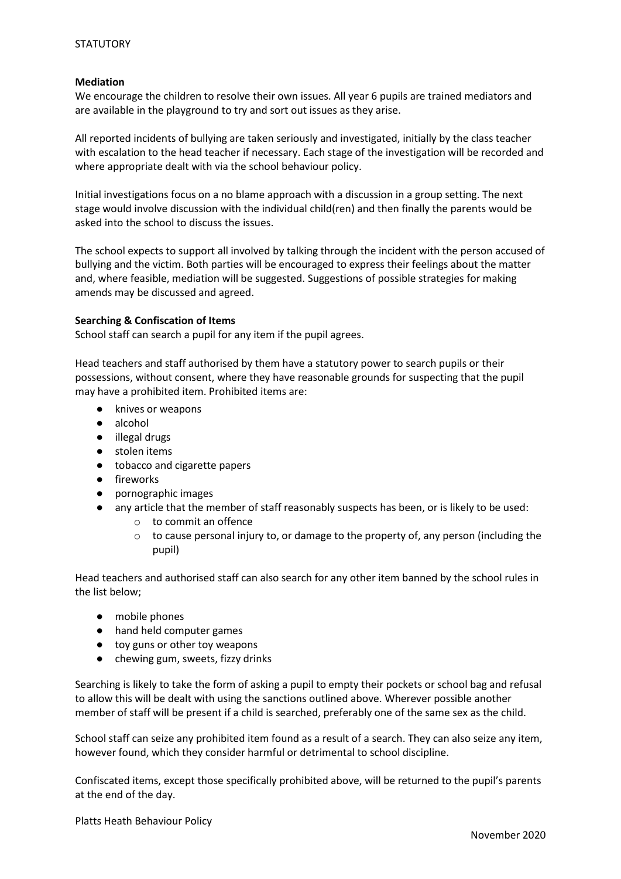## **Mediation**

We encourage the children to resolve their own issues. All year 6 pupils are trained mediators and are available in the playground to try and sort out issues as they arise.

All reported incidents of bullying are taken seriously and investigated, initially by the class teacher with escalation to the head teacher if necessary. Each stage of the investigation will be recorded and where appropriate dealt with via the school behaviour policy.

Initial investigations focus on a no blame approach with a discussion in a group setting. The next stage would involve discussion with the individual child(ren) and then finally the parents would be asked into the school to discuss the issues.

The school expects to support all involved by talking through the incident with the person accused of bullying and the victim. Both parties will be encouraged to express their feelings about the matter and, where feasible, mediation will be suggested. Suggestions of possible strategies for making amends may be discussed and agreed.

### **Searching & Confiscation of Items**

School staff can search a pupil for any item if the pupil agrees.

Head teachers and staff authorised by them have a statutory power to search pupils or their possessions, without consent, where they have reasonable grounds for suspecting that the pupil may have a prohibited item. Prohibited items are:

- knives or weapons
- alcohol
- illegal drugs
- stolen items
- tobacco and cigarette papers
- fireworks
- pornographic images
- any article that the member of staff reasonably suspects has been, or is likely to be used:
	- o to commit an offence
		- $\circ$  to cause personal injury to, or damage to the property of, any person (including the pupil)

Head teachers and authorised staff can also search for any other item banned by the school rules in the list below;

- mobile phones
- hand held computer games
- toy guns or other toy weapons
- chewing gum, sweets, fizzy drinks

Searching is likely to take the form of asking a pupil to empty their pockets or school bag and refusal to allow this will be dealt with using the sanctions outlined above. Wherever possible another member of staff will be present if a child is searched, preferably one of the same sex as the child.

School staff can seize any prohibited item found as a result of a search. They can also seize any item, however found, which they consider harmful or detrimental to school discipline.

Confiscated items, except those specifically prohibited above, will be returned to the pupil's parents at the end of the day.

Platts Heath Behaviour Policy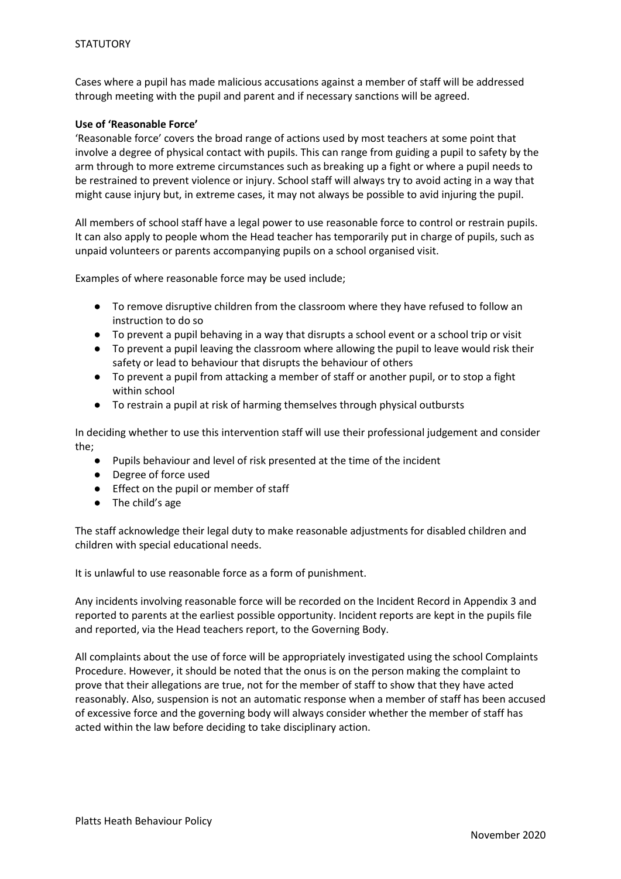Cases where a pupil has made malicious accusations against a member of staff will be addressed through meeting with the pupil and parent and if necessary sanctions will be agreed.

## **Use of 'Reasonable Force'**

'Reasonable force' covers the broad range of actions used by most teachers at some point that involve a degree of physical contact with pupils. This can range from guiding a pupil to safety by the arm through to more extreme circumstances such as breaking up a fight or where a pupil needs to be restrained to prevent violence or injury. School staff will always try to avoid acting in a way that might cause injury but, in extreme cases, it may not always be possible to avid injuring the pupil.

All members of school staff have a legal power to use reasonable force to control or restrain pupils. It can also apply to people whom the Head teacher has temporarily put in charge of pupils, such as unpaid volunteers or parents accompanying pupils on a school organised visit.

Examples of where reasonable force may be used include;

- To remove disruptive children from the classroom where they have refused to follow an instruction to do so
- To prevent a pupil behaving in a way that disrupts a school event or a school trip or visit
- To prevent a pupil leaving the classroom where allowing the pupil to leave would risk their safety or lead to behaviour that disrupts the behaviour of others
- To prevent a pupil from attacking a member of staff or another pupil, or to stop a fight within school
- To restrain a pupil at risk of harming themselves through physical outbursts

In deciding whether to use this intervention staff will use their professional judgement and consider the;

- Pupils behaviour and level of risk presented at the time of the incident
- Degree of force used
- Effect on the pupil or member of staff
- The child's age

The staff acknowledge their legal duty to make reasonable adjustments for disabled children and children with special educational needs.

It is unlawful to use reasonable force as a form of punishment.

Any incidents involving reasonable force will be recorded on the Incident Record in Appendix 3 and reported to parents at the earliest possible opportunity. Incident reports are kept in the pupils file and reported, via the Head teachers report, to the Governing Body.

All complaints about the use of force will be appropriately investigated using the school Complaints Procedure. However, it should be noted that the onus is on the person making the complaint to prove that their allegations are true, not for the member of staff to show that they have acted reasonably. Also, suspension is not an automatic response when a member of staff has been accused of excessive force and the governing body will always consider whether the member of staff has acted within the law before deciding to take disciplinary action.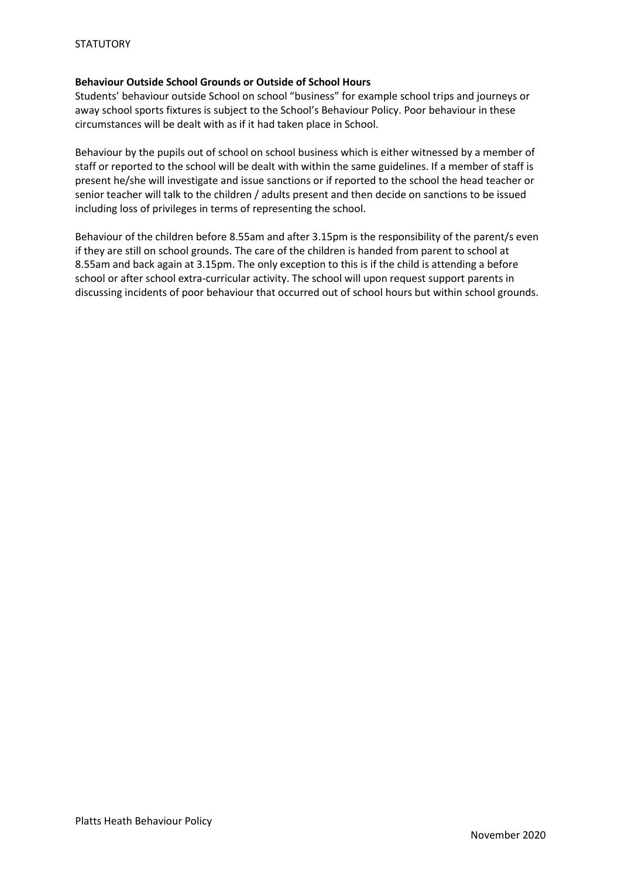## **Behaviour Outside School Grounds or Outside of School Hours**

Students' behaviour outside School on school "business" for example school trips and journeys or away school sports fixtures is subject to the School's Behaviour Policy. Poor behaviour in these circumstances will be dealt with as if it had taken place in School.

Behaviour by the pupils out of school on school business which is either witnessed by a member of staff or reported to the school will be dealt with within the same guidelines. If a member of staff is present he/she will investigate and issue sanctions or if reported to the school the head teacher or senior teacher will talk to the children / adults present and then decide on sanctions to be issued including loss of privileges in terms of representing the school.

Behaviour of the children before 8.55am and after 3.15pm is the responsibility of the parent/s even if they are still on school grounds. The care of the children is handed from parent to school at 8.55am and back again at 3.15pm. The only exception to this is if the child is attending a before school or after school extra-curricular activity. The school will upon request support parents in discussing incidents of poor behaviour that occurred out of school hours but within school grounds.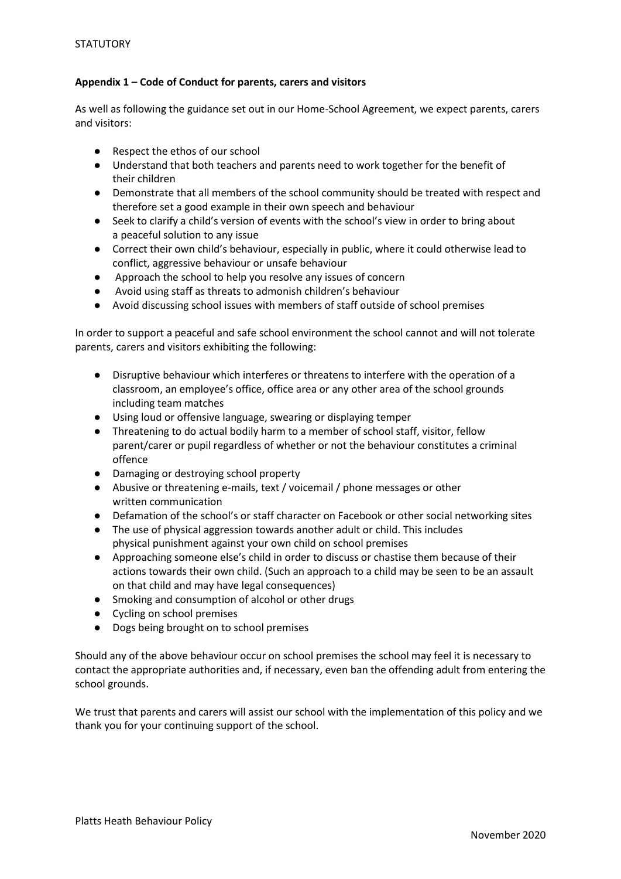## **Appendix 1 – Code of Conduct for parents, carers and visitors**

As well as following the guidance set out in our Home-School Agreement, we expect parents, carers and visitors:

- Respect the ethos of our school
- Understand that both teachers and parents need to work together for the benefit of their children
- Demonstrate that all members of the school community should be treated with respect and therefore set a good example in their own speech and behaviour
- Seek to clarify a child's version of events with the school's view in order to bring about a peaceful solution to any issue
- Correct their own child's behaviour, especially in public, where it could otherwise lead to conflict, aggressive behaviour or unsafe behaviour
- Approach the school to help you resolve any issues of concern
- Avoid using staff as threats to admonish children's behaviour
- Avoid discussing school issues with members of staff outside of school premises

In order to support a peaceful and safe school environment the school cannot and will not tolerate parents, carers and visitors exhibiting the following:

- Disruptive behaviour which interferes or threatens to interfere with the operation of a classroom, an employee's office, office area or any other area of the school grounds including team matches
- Using loud or offensive language, swearing or displaying temper
- Threatening to do actual bodily harm to a member of school staff, visitor, fellow parent/carer or pupil regardless of whether or not the behaviour constitutes a criminal offence
- Damaging or destroying school property
- Abusive or threatening e-mails, text / voicemail / phone messages or other written communication
- Defamation of the school's or staff character on Facebook or other social networking sites
- The use of physical aggression towards another adult or child. This includes physical punishment against your own child on school premises
- Approaching someone else's child in order to discuss or chastise them because of their actions towards their own child. (Such an approach to a child may be seen to be an assault on that child and may have legal consequences)
- Smoking and consumption of alcohol or other drugs
- Cycling on school premises
- Dogs being brought on to school premises

Should any of the above behaviour occur on school premises the school may feel it is necessary to contact the appropriate authorities and, if necessary, even ban the offending adult from entering the school grounds.

We trust that parents and carers will assist our school with the implementation of this policy and we thank you for your continuing support of the school.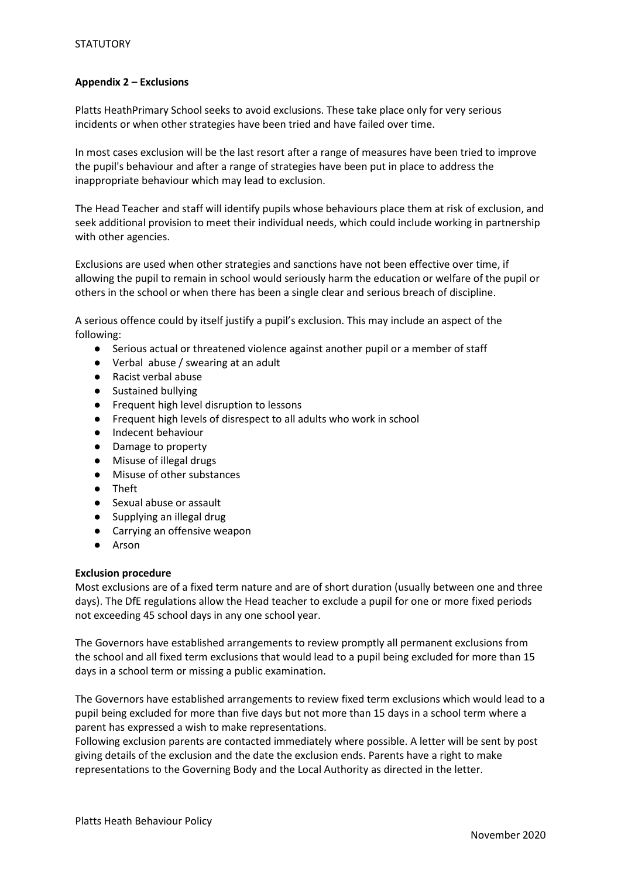## **Appendix 2 – Exclusions**

Platts HeathPrimary School seeks to avoid exclusions. These take place only for very serious incidents or when other strategies have been tried and have failed over time.

In most cases exclusion will be the last resort after a range of measures have been tried to improve the pupil's behaviour and after a range of strategies have been put in place to address the inappropriate behaviour which may lead to exclusion.

The Head Teacher and staff will identify pupils whose behaviours place them at risk of exclusion, and seek additional provision to meet their individual needs, which could include working in partnership with other agencies.

Exclusions are used when other strategies and sanctions have not been effective over time, if allowing the pupil to remain in school would seriously harm the education or welfare of the pupil or others in the school or when there has been a single clear and serious breach of discipline.

A serious offence could by itself justify a pupil's exclusion. This may include an aspect of the following:

- Serious actual or threatened violence against another pupil or a member of staff
- Verbal abuse / swearing at an adult
- Racist verbal abuse
- Sustained bullying
- Frequent high level disruption to lessons
- Frequent high levels of disrespect to all adults who work in school
- Indecent behaviour
- Damage to property
- Misuse of illegal drugs
- Misuse of other substances
- Theft
- Sexual abuse or assault
- Supplying an illegal drug
- Carrying an offensive weapon
- Arson

## **Exclusion procedure**

Most exclusions are of a fixed term nature and are of short duration (usually between one and three days). The DfE regulations allow the Head teacher to exclude a pupil for one or more fixed periods not exceeding 45 school days in any one school year.

The Governors have established arrangements to review promptly all permanent exclusions from the school and all fixed term exclusions that would lead to a pupil being excluded for more than 15 days in a school term or missing a public examination.

The Governors have established arrangements to review fixed term exclusions which would lead to a pupil being excluded for more than five days but not more than 15 days in a school term where a parent has expressed a wish to make representations.

Following exclusion parents are contacted immediately where possible. A letter will be sent by post giving details of the exclusion and the date the exclusion ends. Parents have a right to make representations to the Governing Body and the Local Authority as directed in the letter.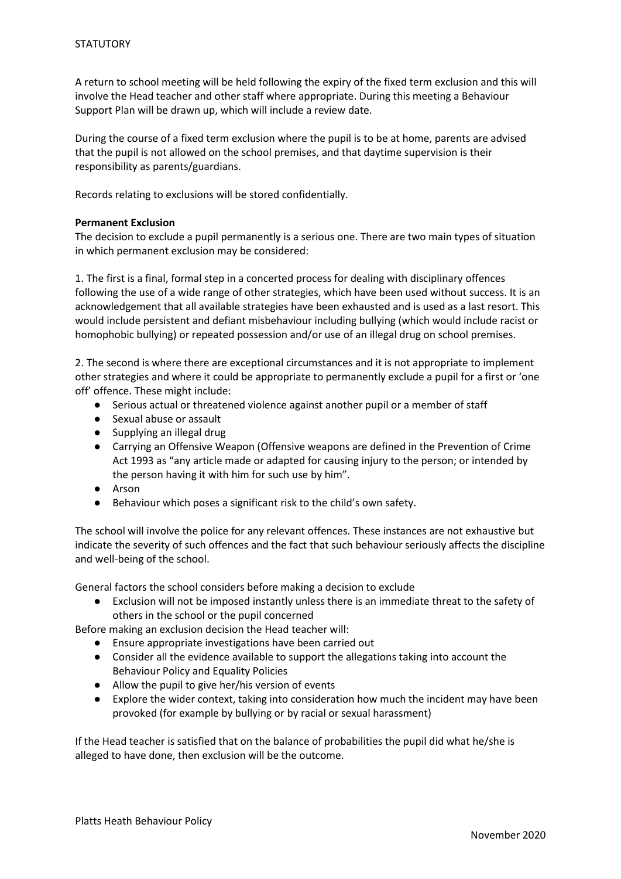A return to school meeting will be held following the expiry of the fixed term exclusion and this will involve the Head teacher and other staff where appropriate. During this meeting a Behaviour Support Plan will be drawn up, which will include a review date.

During the course of a fixed term exclusion where the pupil is to be at home, parents are advised that the pupil is not allowed on the school premises, and that daytime supervision is their responsibility as parents/guardians.

Records relating to exclusions will be stored confidentially.

## **Permanent Exclusion**

The decision to exclude a pupil permanently is a serious one. There are two main types of situation in which permanent exclusion may be considered:

1. The first is a final, formal step in a concerted process for dealing with disciplinary offences following the use of a wide range of other strategies, which have been used without success. It is an acknowledgement that all available strategies have been exhausted and is used as a last resort. This would include persistent and defiant misbehaviour including bullying (which would include racist or homophobic bullying) or repeated possession and/or use of an illegal drug on school premises.

2. The second is where there are exceptional circumstances and it is not appropriate to implement other strategies and where it could be appropriate to permanently exclude a pupil for a first or 'one off' offence. These might include:

- Serious actual or threatened violence against another pupil or a member of staff
- Sexual abuse or assault
- Supplying an illegal drug
- Carrying an Offensive Weapon (Offensive weapons are defined in the Prevention of Crime Act 1993 as "any article made or adapted for causing injury to the person; or intended by the person having it with him for such use by him".
- Arson
- Behaviour which poses a significant risk to the child's own safety.

The school will involve the police for any relevant offences. These instances are not exhaustive but indicate the severity of such offences and the fact that such behaviour seriously affects the discipline and well-being of the school.

General factors the school considers before making a decision to exclude

● Exclusion will not be imposed instantly unless there is an immediate threat to the safety of others in the school or the pupil concerned

Before making an exclusion decision the Head teacher will:

- Ensure appropriate investigations have been carried out
- Consider all the evidence available to support the allegations taking into account the Behaviour Policy and Equality Policies
- Allow the pupil to give her/his version of events
- Explore the wider context, taking into consideration how much the incident may have been provoked (for example by bullying or by racial or sexual harassment)

If the Head teacher is satisfied that on the balance of probabilities the pupil did what he/she is alleged to have done, then exclusion will be the outcome.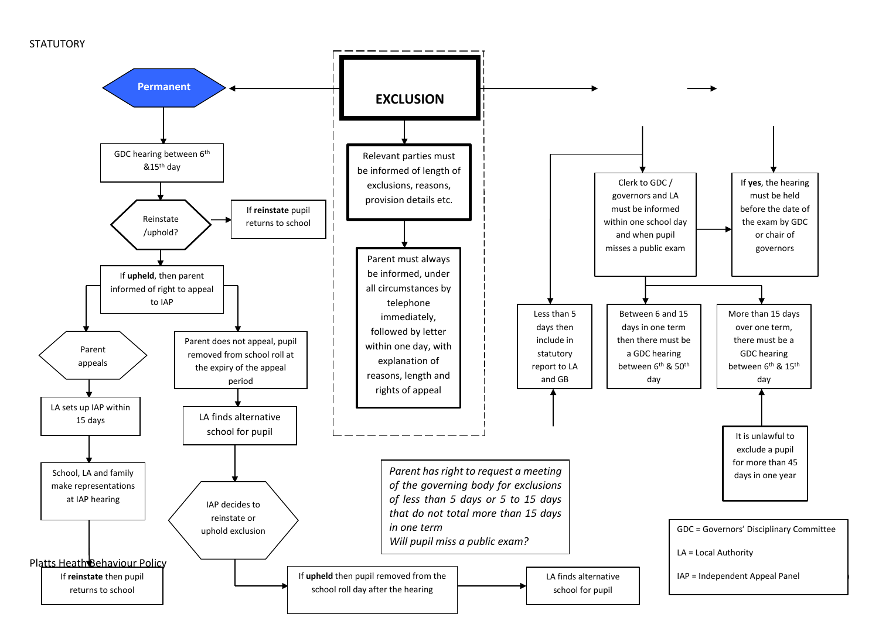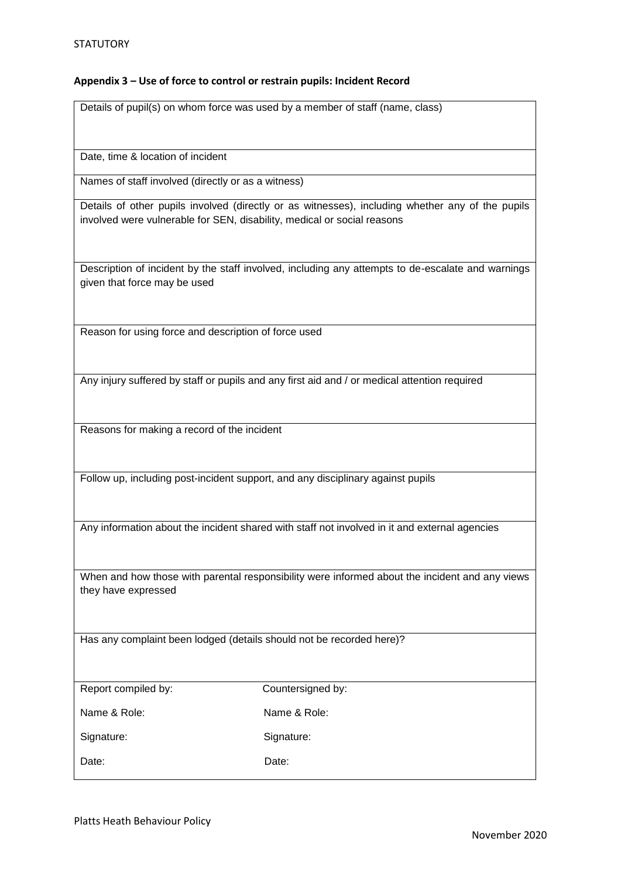## **Appendix 3 – Use of force to control or restrain pupils: Incident Record**

Details of pupil(s) on whom force was used by a member of staff (name, class)

Date, time & location of incident

Names of staff involved (directly or as a witness)

Details of other pupils involved (directly or as witnesses), including whether any of the pupils involved were vulnerable for SEN, disability, medical or social reasons

Description of incident by the staff involved, including any attempts to de-escalate and warnings given that force may be used

Reason for using force and description of force used

Any injury suffered by staff or pupils and any first aid and / or medical attention required

Reasons for making a record of the incident

Follow up, including post-incident support, and any disciplinary against pupils

Any information about the incident shared with staff not involved in it and external agencies

When and how those with parental responsibility were informed about the incident and any views they have expressed

Has any complaint been lodged (details should not be recorded here)?

| Report compiled by: |  |
|---------------------|--|
|                     |  |

Countersigned by:

Name & Role: Name & Role:

Signature: Signature: Signature:

Date: **Date:** Date: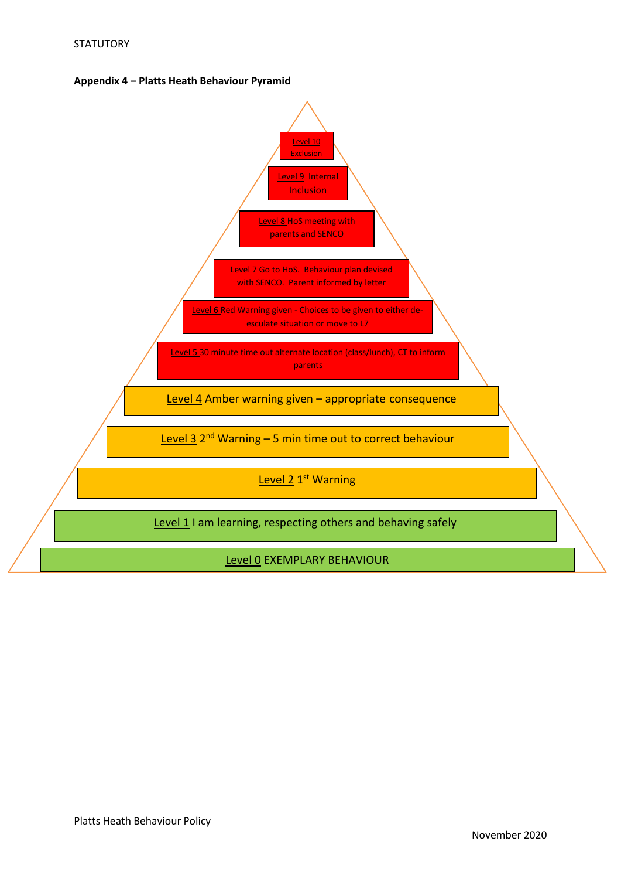

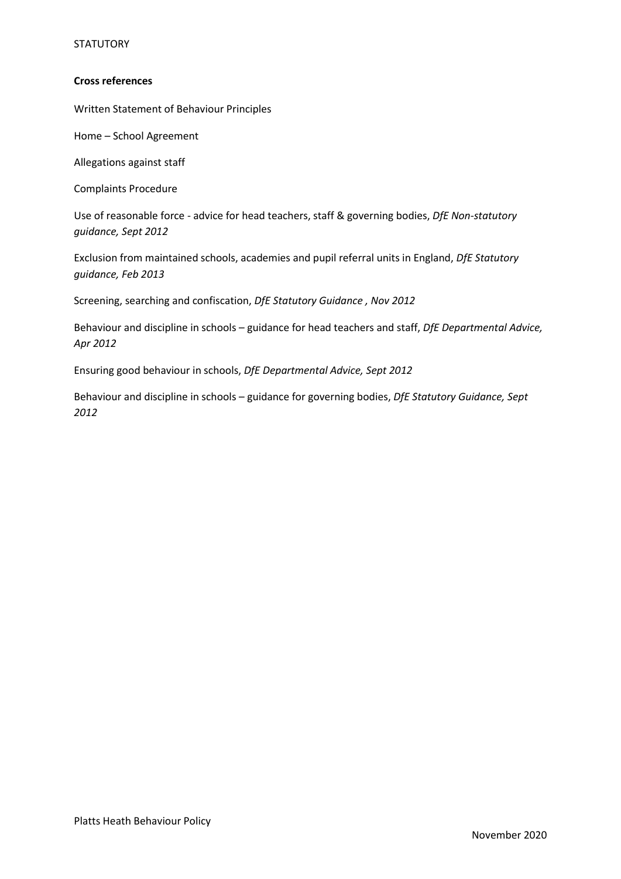## **STATUTORY**

#### **Cross references**

Written Statement of Behaviour Principles

Home – School Agreement

Allegations against staff

Complaints Procedure

Use of reasonable force - advice for head teachers, staff & governing bodies, *DfE Non-statutory guidance, Sept 2012*

Exclusion from maintained schools, academies and pupil referral units in England, *DfE Statutory guidance, Feb 2013*

Screening, searching and confiscation, *DfE Statutory Guidance , Nov 2012*

Behaviour and discipline in schools – guidance for head teachers and staff, *DfE Departmental Advice, Apr 2012* 

Ensuring good behaviour in schools, *DfE Departmental Advice, Sept 2012*

Behaviour and discipline in schools – guidance for governing bodies, *DfE Statutory Guidance, Sept 2012*